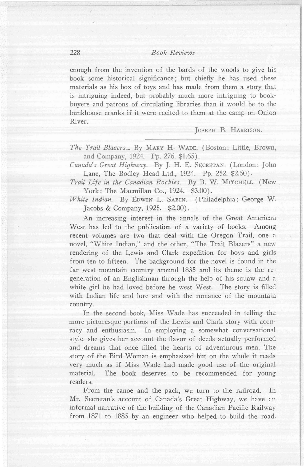enough from the invention of the bards of the woods to give his book some historical significance; but chiefly he has used these materials as his box of toys and has made from them a story that is intriguing indeed, but probably much more intriguing to bookbuyers and patrons of circulating libraries than it would be to the bunkhouse cranks if it were recited to them at the camp on Onion River.

JOSEPH B. HARRISON.

*The Trail Blazers.\_* By MARY H. WADE. (Boston: Little, Brown, and Company, 1924. Pp. 276. \$1.65).

*Canadds Great Highway.* By J. H. E. SECRETAN. (London: John Lane, The Bodley Head Ltd., 1924. Pp. 252. \$2.50).

*Trail Life in the Canadian Rockies.* By B. W. MITCHELL. (New York: The Macmillan Co., 1924. \$3.00).

*White Indian.* By EDWIN L. SABIN. (Philadelphia: George W. Jacobs & Company, 1925. \$2.00).

An increasing interest in the annals of the Great American West has led' to the publication of a variety of books. Among recent volumes are two that deal with the Oregon Trail, one a novel, "White Indian," and the other, "The Trail Blazers" a new rendering of the Lewis and Clark expedition for boys and girls from ten to fifteen. The background for the novel is found in the far west mountain country around 1835 and its theme is the regeneration of an Englishman through the help of his squaw and a white girl he had loved before he west West. The story is filled with Indian life and lore and with the romance of the mountain country.

In the second book, Miss Wade has succeeded in telling the more picturesque portions of the Lewis and Clark story with accuracy and enthusiasm. In employing a somewhat conversational style, she gives her account the flavor of deeds actually performed and dreams that once filled the hearts of adventurous men. The story of the Bird Woman is emphasized but on the whole it reads very much as if Miss Wade had made good use of the original material. The book deserves to be recommended for young readers.

From the canoe and the pack, we turn to the railroad. In Mr. Secretan's account of Canada's Great Highway, we have an informal narrative of the building of the Canadian Pacific Railway from 1871 to 1885 by an engineer who helped to build the road·